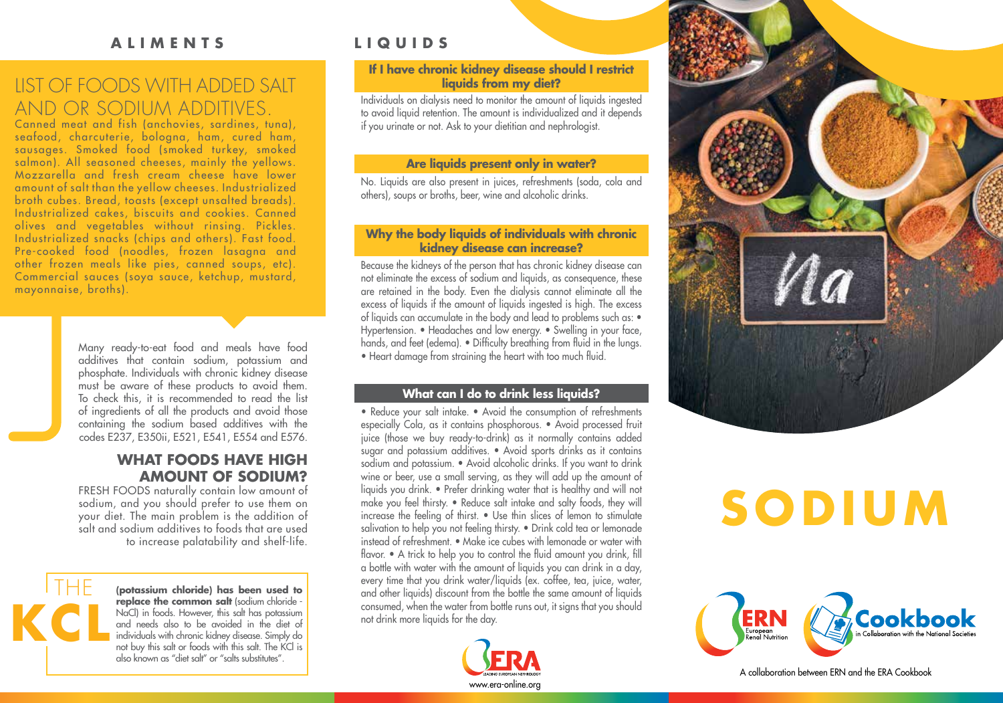## **ALIMENTS**

# LIST OF FOODS WITH ADDED SALT AND OR SODIUM ADDITIVES.

Canned meat and fish (anchovies, sardines, tuna), seafood, charcuterie, bologna, ham, cured ham, sausages. Smoked food (smoked turkey, smoked salmon). All seasoned cheeses, mainly the yellows. Mozzarella and fresh cream cheese have lower amount of salt than the yellow cheeses. Industrialized broth cubes. Bread, toasts (except unsalted breads). Industrialized cakes, biscuits and cookies. Canned olives and vegetables without rinsing. Pickles. Industrialized snacks (chips and others). Fast food. Pre-cooked food (noodles, frozen lasagna and other frozen meals like pies, canned soups, etc). Commercial sauces (soya sauce, ketchup, mustard, mayonnaise, broths).

> Many ready-to-eat food and meals have food additives that contain sodium, potassium and phosphate. Individuals with chronic kidney disease must be aware of these products to avoid them. To check this, it is recommended to read the list of ingredients of all the products and avoid those containing the sodium based additives with the codes E237, E350ii, E521, E541, E554 and E576.

### **WHAT FOODS HAVE HIGH AMOUNT OF SODIUM?**

FRESH FOODS naturally contain low amount of sodium, and you should prefer to use them on your diet. The main problem is the addition of salt and sodium additives to foods that are used to increase palatability and shelf-life.



**(potassium chloride) has been used to replace the common salt** (sodium chloride -NaCl) in foods. However, this salt has potassium and needs also to be avoided in the diet of individuals with chronic kidney disease. Simply do not buy this salt or foods with this salt. The KCl is also known as "diet salt" or "salts substitutes".

# **LIQUIDS**

### **If I have chronic kidney disease should I restrict liquids from my diet?**

Individuals on dialysis need to monitor the amount of liquids ingested to avoid liquid retention. The amount is individualized and it depends if you urinate or not. Ask to your dietitian and nephrologist.

### **Are liquids present only in water?**

No. Liquids are also present in juices, refreshments (soda, cola and others), soups or broths, beer, wine and alcoholic drinks.

### **Why the body liquids of individuals with chronic kidney disease can increase?**

Because the kidneys of the person that has chronic kidney disease can not eliminate the excess of sodium and liquids, as consequence, these are retained in the body. Even the dialysis cannot eliminate all the excess of liquids if the amount of liquids ingested is high. The excess of liquids can accumulate in the body and lead to problems such as: • Hypertension. • Headaches and low energy. • Swelling in your face, hands, and feet (edema). • Difficulty breathing from fluid in the lungs. • Heart damage from straining the heart with too much fluid.

### **What can I do to drink less liquids?**

• Reduce your salt intake. • Avoid the consumption of refreshments especially Cola, as it contains phosphorous. • Avoid processed fruit juice (those we buy ready-to-drink) as it normally contains added sugar and potassium additives. • Avoid sports drinks as it contains sodium and potassium. • Avoid alcoholic drinks. If you want to drink wine or beer, use a small serving, as they will add up the amount of liquids you drink. • Prefer drinking water that is healthy and will not make you feel thirsty. • Reduce salt intake and salty foods, they will increase the feeling of thirst. • Use thin slices of lemon to stimulate salivation to help you not feeling thirsty. • Drink cold tea or lemonade instead of refreshment. • Make ice cubes with lemonade or water with flavor. • A trick to help you to control the fluid amount you drink, fill a bottle with water with the amount of liquids you can drink in a day, every time that you drink water/liquids (ex. coffee, tea, juice, water, and other liquids) discount from the bottle the same amount of liquids consumed, when the water from bottle runs out, it signs that you should not drink more liquids for the day.





# **SODIUM**



A collaboration between ERN and the ERA Cookbook